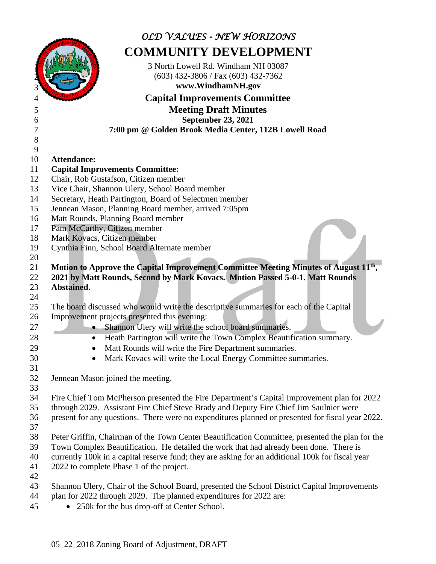|          | OLD VALUES - NEW HORIZONS                                                                           |
|----------|-----------------------------------------------------------------------------------------------------|
|          | <b>COMMUNITY DEVELOPMENT</b>                                                                        |
|          | 3 North Lowell Rd. Windham NH 03087<br>$(603)$ 432-3806 / Fax $(603)$ 432-7362<br>www.WindhamNH.gov |
|          | <b>Capital Improvements Committee</b>                                                               |
| 5        | <b>Meeting Draft Minutes</b>                                                                        |
| 6        | <b>September 23, 2021</b>                                                                           |
| 7        | 7:00 pm @ Golden Brook Media Center, 112B Lowell Road                                               |
| 8        |                                                                                                     |
| 9        |                                                                                                     |
| 10       | <b>Attendance:</b>                                                                                  |
| 11       | <b>Capital Improvements Committee:</b>                                                              |
| 12       | Chair, Rob Gustafson, Citizen member                                                                |
| 13       | Vice Chair, Shannon Ulery, School Board member                                                      |
| 14       | Secretary, Heath Partington, Board of Selectmen member                                              |
| 15       | Jennean Mason, Planning Board member, arrived 7:05pm                                                |
| 16       | Matt Rounds, Planning Board member                                                                  |
| 17       | Pam McCarthy, Citizen member                                                                        |
| 18       | Mark Kovacs, Citizen member                                                                         |
| 19<br>20 | Cynthia Finn, School Board Alternate member                                                         |
| 21       | Motion to Approve the Capital Improvement Committee Meeting Minutes of August 11 <sup>th</sup> ,    |
| 22       | 2021 by Matt Rounds, Second by Mark Kovacs. Motion Passed 5-0-1. Matt Rounds                        |
| 23       | Abstained.                                                                                          |
| 24       |                                                                                                     |
| 25       | The board discussed who would write the descriptive summaries for each of the Capital               |
| 26       | Improvement projects presented this evening:                                                        |
| 27       | Shannon Ulery will write the school board summaries.                                                |
| 28       | Heath Partington will write the Town Complex Beautification summary.                                |
| 29       | Matt Rounds will write the Fire Department summaries.                                               |
| 30       | Mark Kovacs will write the Local Energy Committee summaries.                                        |
| 31       |                                                                                                     |
| 32       | Jennean Mason joined the meeting.                                                                   |
| 33       |                                                                                                     |
| 34       | Fire Chief Tom McPherson presented the Fire Department's Capital Improvement plan for 2022          |
| 35       | through 2029. Assistant Fire Chief Steve Brady and Deputy Fire Chief Jim Saulnier were              |
| 36       | present for any questions. There were no expenditures planned or presented for fiscal year 2022.    |
| 37       |                                                                                                     |
| 38       | Peter Griffin, Chairman of the Town Center Beautification Committee, presented the plan for the     |
| 39       | Town Complex Beautification. He detailed the work that had already been done. There is              |
| 40       | currently 100k in a capital reserve fund; they are asking for an additional 100k for fiscal year    |
| 41       | 2022 to complete Phase 1 of the project.                                                            |
| 42<br>43 | Shannon Ulery, Chair of the School Board, presented the School District Capital Improvements        |
| 44       | plan for 2022 through 2029. The planned expenditures for 2022 are:                                  |
| 45       | • 250k for the bus drop-off at Center School.                                                       |
|          |                                                                                                     |